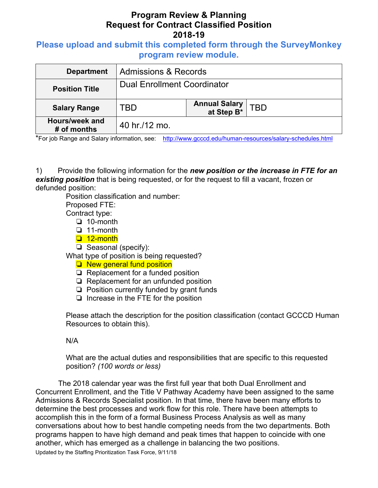## **Please upload and submit this completed form through the SurveyMonkey program review module.**

| <b>Department</b>             | <b>Admissions &amp; Records</b>    |                                     |            |
|-------------------------------|------------------------------------|-------------------------------------|------------|
| <b>Position Title</b>         | <b>Dual Enrollment Coordinator</b> |                                     |            |
| <b>Salary Range</b>           | TBD                                | <b>Annual Salary<br/>at Step B*</b> | <b>TBD</b> |
| Hours/week and<br># of months | 40 hr./12 mo.                      |                                     |            |

\*For job Range and Salary information, see: http://www.gcccd.edu/human-resources/salary-schedules.html

1) Provide the following information for the *new position or the increase in FTE for an existing position* that is being requested, or for the request to fill a vacant, frozen or defunded position:

Position classification and number:

Proposed FTE: Contract type:

- ❏ 10-month
- ❏ 11-month
- ❏ 12-month
- ❏ Seasonal (specify):

What type of position is being requested?

- ❏ New general fund position
- ❏ Replacement for a funded position
- ❏ Replacement for an unfunded position
- ❏ Position currently funded by grant funds
- ❏ Increase in the FTE for the position

Please attach the description for the position classification (contact GCCCD Human Resources to obtain this).

#### N/A

What are the actual duties and responsibilities that are specific to this requested position? *(100 words or less)* 

The 2018 calendar year was the first full year that both Dual Enrollment and Concurrent Enrollment, and the Title V Pathway Academy have been assigned to the same Admissions & Records Specialist position. In that time, there have been many efforts to determine the best processes and work flow for this role. There have been attempts to accomplish this in the form of a formal Business Process Analysis as well as many conversations about how to best handle competing needs from the two departments. Both programs happen to have high demand and peak times that happen to coincide with one another, which has emerged as a challenge in balancing the two positions.

Updated by the Staffing Prioritization Task Force, 9/11/18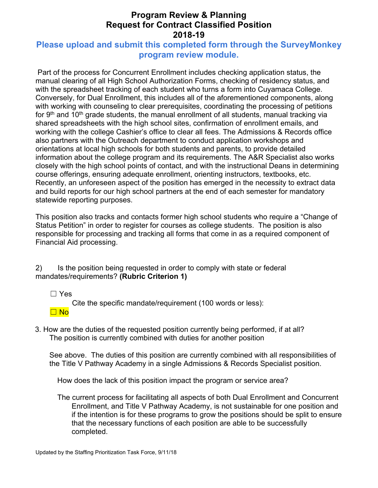## **Please upload and submit this completed form through the SurveyMonkey program review module.**

 Part of the process for Concurrent Enrollment includes checking application status, the manual clearing of all High School Authorization Forms, checking of residency status, and with the spreadsheet tracking of each student who turns a form into Cuyamaca College. Conversely, for Dual Enrollment, this includes all of the aforementioned components, along with working with counseling to clear prerequisites, coordinating the processing of petitions for 9<sup>th</sup> and 10<sup>th</sup> grade students, the manual enrollment of all students, manual tracking via shared spreadsheets with the high school sites, confirmation of enrollment emails, and working with the college Cashier's office to clear all fees. The Admissions & Records office also partners with the Outreach department to conduct application workshops and orientations at local high schools for both students and parents, to provide detailed information about the college program and its requirements. The A&R Specialist also works closely with the high school points of contact, and with the instructional Deans in determining course offerings, ensuring adequate enrollment, orienting instructors, textbooks, etc. Recently, an unforeseen aspect of the position has emerged in the necessity to extract data and build reports for our high school partners at the end of each semester for mandatory statewide reporting purposes.

This position also tracks and contacts former high school students who require a "Change of Status Petition" in order to register for courses as college students. The position is also responsible for processing and tracking all forms that come in as a required component of Financial Aid processing.

2) Is the position being requested in order to comply with state or federal mandates/requirements? **(Rubric Criterion 1)** 

☐ Yes

Cite the specific mandate/requirement (100 words or less):

☐ No

3. How are the duties of the requested position currently being performed, if at all? The position is currently combined with duties for another position

 See above. The duties of this position are currently combined with all responsibilities of the Title V Pathway Academy in a single Admissions & Records Specialist position.

How does the lack of this position impact the program or service area?

The current process for facilitating all aspects of both Dual Enrollment and Concurrent Enrollment, and Title V Pathway Academy, is not sustainable for one position and if the intention is for these programs to grow the positions should be split to ensure that the necessary functions of each position are able to be successfully completed.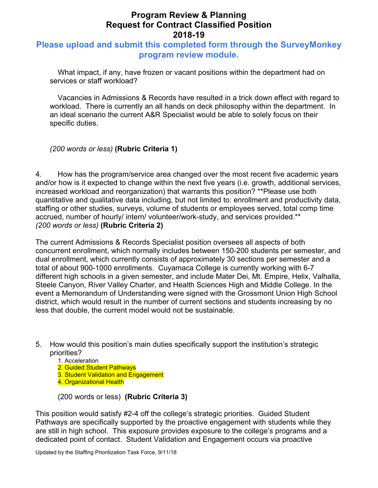#### **Please upload and submit this completed form through the SurveyMonkey program review module.**

What impact, if any, have frozen or vacant positions within the department had on services or staff workload?

Vacancies in Admissions & Records have resulted in a trick down effect with regard to workload. There is currently an all hands on deck philosophy within the department. In an ideal scenario the current A&R Specialist would be able to solely focus on their specific duties.

#### *(200 words or less)* **(Rubric Criteria 1)**

4. How has the program/service area changed over the most recent five academic years and/or how is it expected to change within the next five years (i.e. growth, additional services, increased workload and reorganization) that warrants this position? \*\*Please use both quantitative and qualitative data including, but not limited to: enrollment and productivity data, staffing or other studies, surveys, volume of students or employees served, total comp time accrued, number of hourly/ intern/ volunteer/work-study, and services provided.\*\* *(200 words or less)* **(Rubric Criteria 2)**

The current Admissions & Records Specialist position oversees all aspects of both concurrent enrollment, which normally includes between 150-200 students per semester, and dual enrollment, which currently consists of approximately 30 sections per semester and a total of about 900-1000 enrollments. Cuyamaca College is currently working with 6-7 different high schools in a given semester, and include Mater Dei, Mt. Empire, Helix, Valhalla, Steele Canyon, River Valley Charter, and Health Sciences High and Middle College. In the event a Memorandum of Understanding were signed with the Grossmont Union High School district, which would result in the number of current sections and students increasing by no less that double, the current model would not be sustainable.

- 5. How would this position's main duties specifically support the institution's strategic priorities?
	- 1. Acceleration
	- 2. Guided Student Pathways
	- 3. Student Validation and Engagement
	- 4. Organizational Health

(200 words or less) **(Rubric Criteria 3)** 

This position would satisfy #2-4 off the college's strategic priorities. Guided Student Pathways are specifically supported by the proactive engagement with students while they are still in high school. This exposure provides exposure to the college's programs and a dedicated point of contact. Student Validation and Engagement occurs via proactive